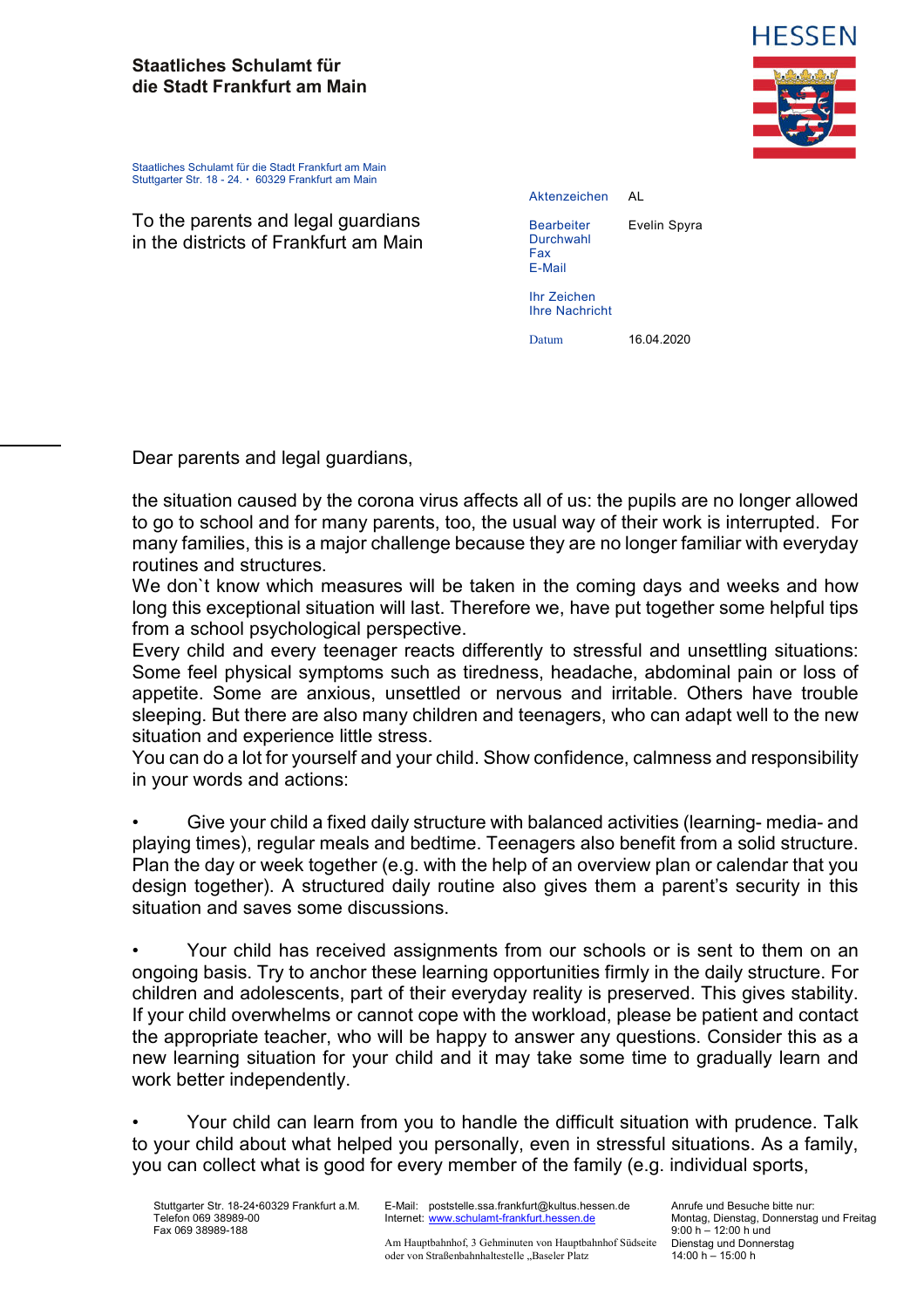## **Staatliches Schulamt für die Stadt Frankfurt am Main**



Staatliches Schulamt für die Stadt Frankfurt am Main Stuttgarter Str. 18 - 24. • 60329 Frankfurt am Main

To the parents and legal guardians in the districts of Frankfurt am Main

| Aktenzeichen                                    | AI           |
|-------------------------------------------------|--------------|
| <b>Bearbeiter</b><br>Durchwahl<br>Fax<br>E-Mail | Evelin Spyra |
| Ihr Zeichen<br><b>Ihre Nachricht</b>            |              |
| Datum                                           | 16.04.2020   |

Dear parents and legal guardians,

the situation caused by the corona virus affects all of us: the pupils are no longer allowed to go to school and for many parents, too, the usual way of their work is interrupted. For many families, this is a major challenge because they are no longer familiar with everyday routines and structures.

We don`t know which measures will be taken in the coming days and weeks and how long this exceptional situation will last. Therefore we, have put together some helpful tips from a school psychological perspective.

Every child and every teenager reacts differently to stressful and unsettling situations: Some feel physical symptoms such as tiredness, headache, abdominal pain or loss of appetite. Some are anxious, unsettled or nervous and irritable. Others have trouble sleeping. But there are also many children and teenagers, who can adapt well to the new situation and experience little stress.

You can do a lot for yourself and your child. Show confidence, calmness and responsibility in your words and actions:

• Give your child a fixed daily structure with balanced activities (learning- media- and playing times), regular meals and bedtime. Teenagers also benefit from a solid structure. Plan the day or week together (e.g. with the help of an overview plan or calendar that you design together). A structured daily routine also gives them a parent's security in this situation and saves some discussions.

• Your child has received assignments from our schools or is sent to them on an ongoing basis. Try to anchor these learning opportunities firmly in the daily structure. For children and adolescents, part of their everyday reality is preserved. This gives stability. If your child overwhelms or cannot cope with the workload, please be patient and contact the appropriate teacher, who will be happy to answer any questions. Consider this as a new learning situation for your child and it may take some time to gradually learn and work better independently.

• Your child can learn from you to handle the difficult situation with prudence. Talk to your child about what helped you personally, even in stressful situations. As a family, you can collect what is good for every member of the family (e.g. individual sports,